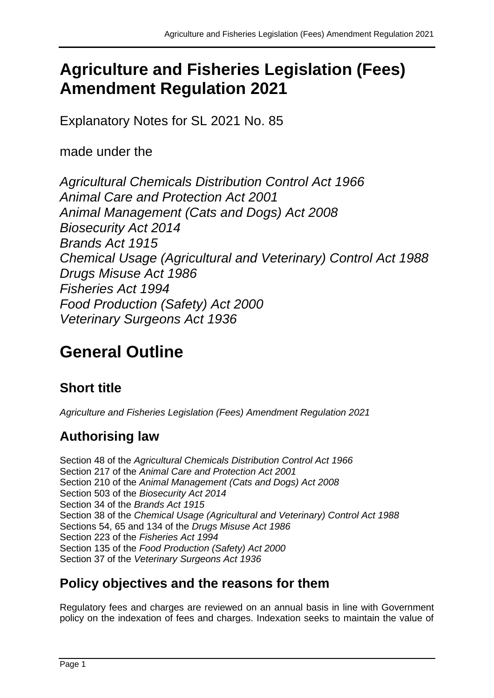## **Agriculture and Fisheries Legislation (Fees) Amendment Regulation 2021**

Explanatory Notes for SL 2021 No. 85

made under the

*Agricultural Chemicals Distribution Control Act 1966 Animal Care and Protection Act 2001 Animal Management (Cats and Dogs) Act 2008 Biosecurity Act 2014 Brands Act 1915 Chemical Usage (Agricultural and Veterinary) Control Act 1988 Drugs Misuse Act 1986 Fisheries Act 1994 Food Production (Safety) Act 2000 Veterinary Surgeons Act 1936*

# **General Outline**

## **Short title**

*Agriculture and Fisheries Legislation (Fees) Amendment Regulation 2021*

## **Authorising law**

Section 48 of the *Agricultural Chemicals Distribution Control Act 1966* Section 217 of the *Animal Care and Protection Act 2001* Section 210 of the *Animal Management (Cats and Dogs) Act 2008* Section 503 of the *Biosecurity Act 2014* Section 34 of the *Brands Act 1915* Section 38 of the *Chemical Usage (Agricultural and Veterinary) Control Act 1988* Sections 54, 65 and 134 of the *Drugs Misuse Act 1986* Section 223 of the *Fisheries Act 1994* Section 135 of the *Food Production (Safety) Act 2000*  Section 37 of the *Veterinary Surgeons Act 1936*

#### **Policy objectives and the reasons for them**

Regulatory fees and charges are reviewed on an annual basis in line with Government policy on the indexation of fees and charges. Indexation seeks to maintain the value of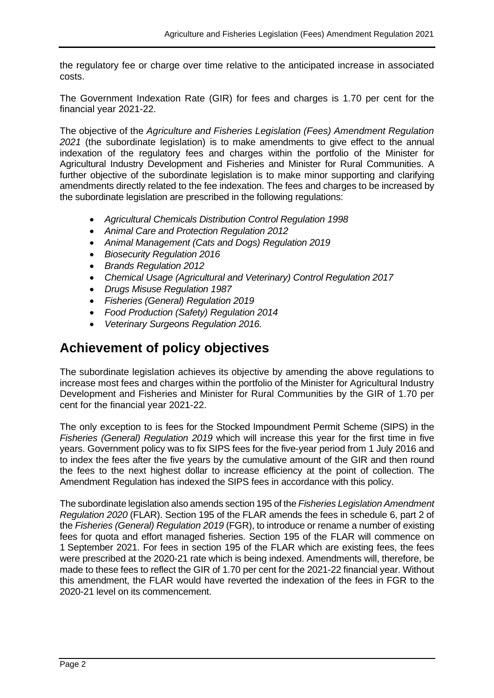the regulatory fee or charge over time relative to the anticipated increase in associated costs.

The Government Indexation Rate (GIR) for fees and charges is 1.70 per cent for the financial year 2021-22.

The objective of the *Agriculture and Fisheries Legislation (Fees) Amendment Regulation 2021* (the subordinate legislation) is to make amendments to give effect to the annual indexation of the regulatory fees and charges within the portfolio of the Minister for Agricultural Industry Development and Fisheries and Minister for Rural Communities. A further objective of the subordinate legislation is to make minor supporting and clarifying amendments directly related to the fee indexation. The fees and charges to be increased by the subordinate legislation are prescribed in the following regulations:

- *Agricultural Chemicals Distribution Control Regulation 1998*
- *Animal Care and Protection Regulation 2012*
- *Animal Management (Cats and Dogs) Regulation 2019*
- *Biosecurity Regulation 2016*
- *Brands Regulation 2012*
- *Chemical Usage (Agricultural and Veterinary) Control Regulation 2017*
- *Drugs Misuse Regulation 1987*
- *Fisheries (General) Regulation 2019*
- *Food Production (Safety) Regulation 2014*
- *Veterinary Surgeons Regulation 2016.*

#### **Achievement of policy objectives**

The subordinate legislation achieves its objective by amending the above regulations to increase most fees and charges within the portfolio of the Minister for Agricultural Industry Development and Fisheries and Minister for Rural Communities by the GIR of 1.70 per cent for the financial year 2021-22.

The only exception to is fees for the Stocked Impoundment Permit Scheme (SIPS) in the *Fisheries (General) Regulation 2019* which will increase this year for the first time in five years. Government policy was to fix SIPS fees for the five-year period from 1 July 2016 and to index the fees after the five years by the cumulative amount of the GIR and then round the fees to the next highest dollar to increase efficiency at the point of collection. The Amendment Regulation has indexed the SIPS fees in accordance with this policy.

The subordinate legislation also amends section 195 of the *Fisheries Legislation Amendment Regulation 2020* (FLAR). Section 195 of the FLAR amends the fees in schedule 6, part 2 of the *Fisheries (General) Regulation 2019* (FGR), to introduce or rename a number of existing fees for quota and effort managed fisheries. Section 195 of the FLAR will commence on 1 September 2021. For fees in section 195 of the FLAR which are existing fees, the fees were prescribed at the 2020-21 rate which is being indexed. Amendments will, therefore, be made to these fees to reflect the GIR of 1.70 per cent for the 2021-22 financial year. Without this amendment, the FLAR would have reverted the indexation of the fees in FGR to the 2020-21 level on its commencement.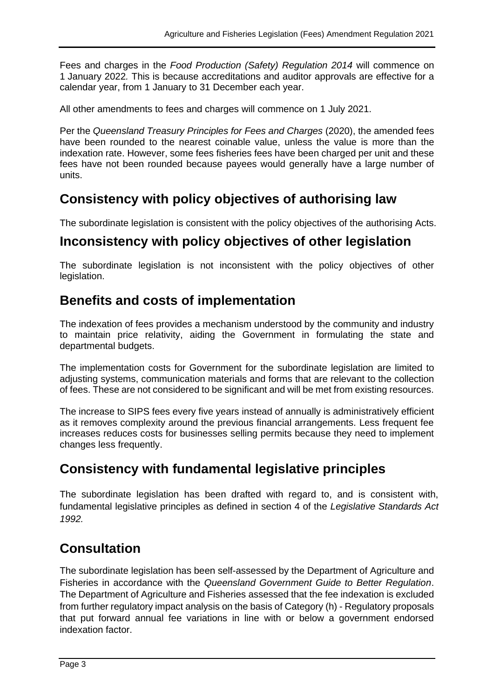Fees and charges in the *Food Production (Safety) Regulation 2014* will commence on 1 January 2022*.* This is because accreditations and auditor approvals are effective for a calendar year, from 1 January to 31 December each year.

All other amendments to fees and charges will commence on 1 July 2021.

Per the *Queensland Treasury Principles for Fees and Charges* (2020), the amended fees have been rounded to the nearest coinable value, unless the value is more than the indexation rate. However, some fees fisheries fees have been charged per unit and these fees have not been rounded because payees would generally have a large number of units.

#### **Consistency with policy objectives of authorising law**

The subordinate legislation is consistent with the policy objectives of the authorising Acts.

#### **Inconsistency with policy objectives of other legislation**

The subordinate legislation is not inconsistent with the policy objectives of other legislation.

#### **Benefits and costs of implementation**

The indexation of fees provides a mechanism understood by the community and industry to maintain price relativity, aiding the Government in formulating the state and departmental budgets.

The implementation costs for Government for the subordinate legislation are limited to adjusting systems, communication materials and forms that are relevant to the collection of fees. These are not considered to be significant and will be met from existing resources.

The increase to SIPS fees every five years instead of annually is administratively efficient as it removes complexity around the previous financial arrangements. Less frequent fee increases reduces costs for businesses selling permits because they need to implement changes less frequently.

#### **Consistency with fundamental legislative principles**

The subordinate legislation has been drafted with regard to, and is consistent with, fundamental legislative principles as defined in section 4 of the *Legislative Standards Act 1992.*

#### **Consultation**

The subordinate legislation has been self-assessed by the Department of Agriculture and Fisheries in accordance with the *Queensland Government Guide to Better Regulation*. The Department of Agriculture and Fisheries assessed that the fee indexation is excluded from further regulatory impact analysis on the basis of Category (h) - Regulatory proposals that put forward annual fee variations in line with or below a government endorsed indexation factor.